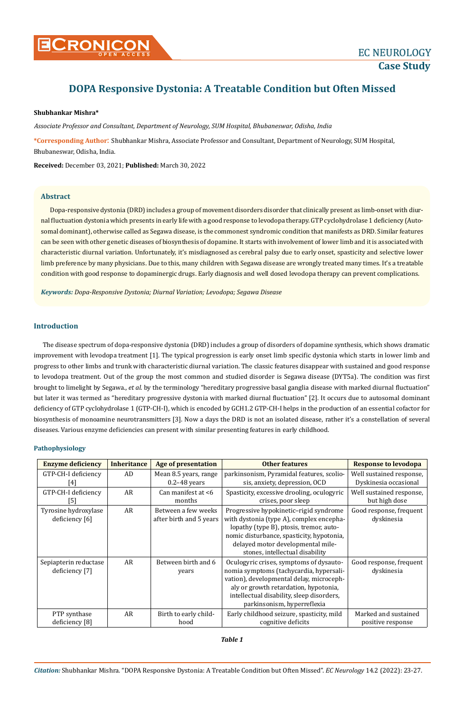

# **DOPA Responsive Dystonia: A Treatable Condition but Often Missed**

## **Shubhankar Mishra\***

*Associate Professor and Consultant, Department of Neurology, SUM Hospital, Bhubaneswar, Odisha, India*

**\*Corresponding Author**: Shubhankar Mishra, Associate Professor and Consultant, Department of Neurology, SUM Hospital, Bhubaneswar, Odisha, India.

**Received:** December 03, 2021; **Published:** March 30, 2022

#### **Abstract**

Dopa-responsive dystonia (DRD) includes a group of movement disorders disorder that clinically present as limb-onset with diurnal fluctuation dystonia which presents in early life with a good response to levodopa therapy. GTP cyclohydrolase 1 deficiency (Autosomal dominant), otherwise called as Segawa disease, is the commonest syndromic condition that manifests as DRD. Similar features can be seen with other genetic diseases of biosynthesis of dopamine. It starts with involvement of lower limb and it is associated with characteristic diurnal variation. Unfortunately, it's misdiagnosed as cerebral palsy due to early onset, spasticity and selective lower limb preference by many physicians. Due to this, many children with Segawa disease are wrongly treated many times. It's a treatable condition with good response to dopaminergic drugs. Early diagnosis and well dosed levodopa therapy can prevent complications.

*Keywords: Dopa-Responsive Dystonia; Diurnal Variation; Levodopa; Segawa Disease*

# **Introduction**

The disease spectrum of dopa-responsive dystonia (DRD) includes a group of disorders of dopamine synthesis, which shows dramatic improvement with levodopa treatment [1]. The typical progression is early onset limb specific dystonia which starts in lower limb and progress to other limbs and trunk with characteristic diurnal variation. The classic features disappear with sustained and good response to levodopa treatment. Out of the group the most common and studied disorder is Segawa disease (DYT5a). The condition was first brought to limelight by Segawa., *et al*. by the terminology "hereditary progressive basal ganglia disease with marked diurnal fluctuation" but later it was termed as "hereditary progressive dystonia with marked diurnal fluctuation" [2]. It occurs due to autosomal dominant deficiency of GTP cyclohydrolase 1 (GTP-CH-I), which is encoded by GCH1.2 GTP-CH-I helps in the production of an essential cofactor for biosynthesis of monoamine neurotransmitters [3]. Now a days the DRD is not an isolated disease, rather it's a constellation of several diseases. Various enzyme deficiencies can present with similar presenting features in early childhood.

#### **Pathophysiology**

| <b>Enzyme deficiency</b> | <b>Inheritance</b> | Age of presentation     | <b>Other features</b>                                  | <b>Response to levodopa</b> |
|--------------------------|--------------------|-------------------------|--------------------------------------------------------|-----------------------------|
| GTP-CH-I deficiency      | AD                 | Mean 8.5 years, range   | parkinsonism, Pyramidal features, scolio-              | Well sustained response,    |
| [4]                      |                    | $0.2 - 48$ years        | sis, anxiety, depression, OCD                          | Dyskinesia occasional       |
| GTP-CH-I deficiency      | AR                 | Can manifest at $<$ 6   | Spasticity, excessive drooling, oculogyric             | Well sustained response,    |
| [5]                      |                    | months                  | crises, poor sleep                                     | but high dose               |
| Tyrosine hydroxylase     | AR                 | Between a few weeks     | Progressive hypokinetic-rigid syndrome                 | Good response, frequent     |
| deficiency [6]           |                    | after birth and 5 years | with dystonia (type A), complex encepha-<br>dyskinesia |                             |
|                          |                    |                         | lopathy (type B), ptosis, tremor, auto-                |                             |
|                          |                    |                         | nomic disturbance, spasticity, hypotonia,              |                             |
|                          |                    |                         | delayed motor developmental mile-                      |                             |
|                          |                    |                         | stones, intellectual disability                        |                             |
| Sepiapterin reductase    | AR                 | Between birth and 6     | Oculogyric crises, symptoms of dysauto-                | Good response, frequent     |
| deficiency [7]           |                    | years                   | nomia symptoms (tachycardia, hypersali-                | dyskinesia                  |
|                          |                    |                         | vation), developmental delay, microceph-               |                             |
|                          |                    |                         | aly or growth retardation, hypotonia,                  |                             |
|                          |                    |                         | intellectual disability, sleep disorders,              |                             |
|                          |                    |                         | parkinsonism, hyperreflexia                            |                             |
| PTP synthase             | AR                 | Birth to early child-   | Early childhood seizure, spasticity, mild              | Marked and sustained        |
| deficiency [8]           |                    | hood                    | cognitive deficits                                     | positive response           |

*Table 1*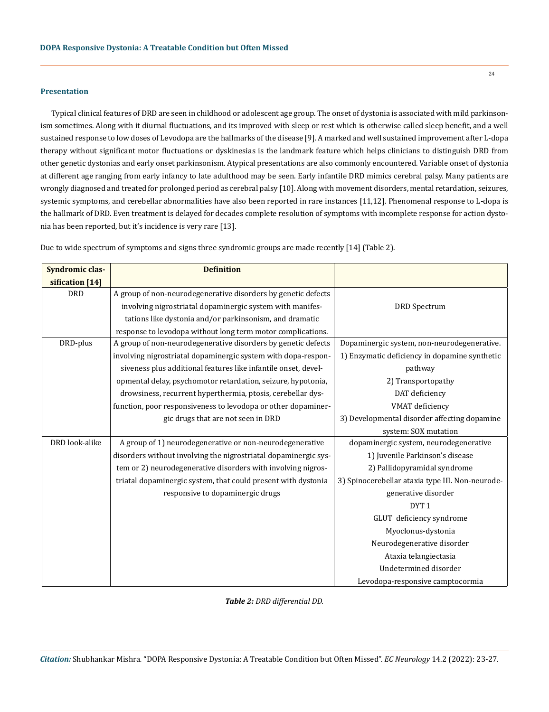#### **Presentation**

Typical clinical features of DRD are seen in childhood or adolescent age group. The onset of dystonia is associated with mild parkinsonism sometimes. Along with it diurnal fluctuations, and its improved with sleep or rest which is otherwise called sleep benefit, and a well sustained response to low doses of Levodopa are the hallmarks of the disease [9]. A marked and well sustained improvement after L-dopa therapy without significant motor fluctuations or dyskinesias is the landmark feature which helps clinicians to distinguish DRD from other genetic dystonias and early onset parkinsonism. Atypical presentations are also commonly encountered. Variable onset of dystonia at different age ranging from early infancy to late adulthood may be seen. Early infantile DRD mimics cerebral palsy. Many patients are wrongly diagnosed and treated for prolonged period as cerebral palsy [10]. Along with movement disorders, mental retardation, seizures, systemic symptoms, and cerebellar abnormalities have also been reported in rare instances [11,12]. Phenomenal response to L-dopa is the hallmark of DRD. Even treatment is delayed for decades complete resolution of symptoms with incomplete response for action dystonia has been reported, but it's incidence is very rare [13].

| Syndromic clas- | <b>Definition</b>                                               |                                                  |
|-----------------|-----------------------------------------------------------------|--------------------------------------------------|
| sification [14] |                                                                 |                                                  |
| <b>DRD</b>      | A group of non-neurodegenerative disorders by genetic defects   |                                                  |
|                 | involving nigrostriatal dopaminergic system with manifes-       | <b>DRD</b> Spectrum                              |
|                 | tations like dystonia and/or parkinsonism, and dramatic         |                                                  |
|                 | response to levodopa without long term motor complications.     |                                                  |
| DRD-plus        | A group of non-neurodegenerative disorders by genetic defects   | Dopaminergic system, non-neurodegenerative.      |
|                 | involving nigrostriatal dopaminergic system with dopa-respon-   | 1) Enzymatic deficiency in dopamine synthetic    |
|                 | siveness plus additional features like infantile onset, devel-  | pathway                                          |
|                 | opmental delay, psychomotor retardation, seizure, hypotonia,    | 2) Transportopathy                               |
|                 | drowsiness, recurrent hyperthermia, ptosis, cerebellar dys-     | DAT deficiency                                   |
|                 | function, poor responsiveness to levodopa or other dopaminer-   | VMAT deficiency                                  |
|                 | gic drugs that are not seen in DRD                              | 3) Developmental disorder affecting dopamine     |
|                 |                                                                 | system: SOX mutation                             |
| DRD look-alike  | A group of 1) neurodegenerative or non-neurodegenerative        | dopaminergic system, neurodegenerative           |
|                 | disorders without involving the nigrostriatal dopaminergic sys- | 1) Juvenile Parkinson's disease                  |
|                 | tem or 2) neurodegenerative disorders with involving nigros-    | 2) Pallidopyramidal syndrome                     |
|                 | triatal dopaminergic system, that could present with dystonia   | 3) Spinocerebellar ataxia type III. Non-neurode- |
|                 | responsive to dopaminergic drugs                                | generative disorder                              |
|                 |                                                                 | DYT <sub>1</sub>                                 |
|                 |                                                                 | GLUT deficiency syndrome                         |
|                 |                                                                 | Myoclonus-dystonia                               |
|                 |                                                                 | Neurodegenerative disorder                       |
|                 |                                                                 | Ataxia telangiectasia                            |
|                 |                                                                 | Undetermined disorder                            |
|                 |                                                                 | Levodopa-responsive camptocormia                 |

Due to wide spectrum of symptoms and signs three syndromic groups are made recently [14] (Table 2).

*Table 2: DRD differential DD.*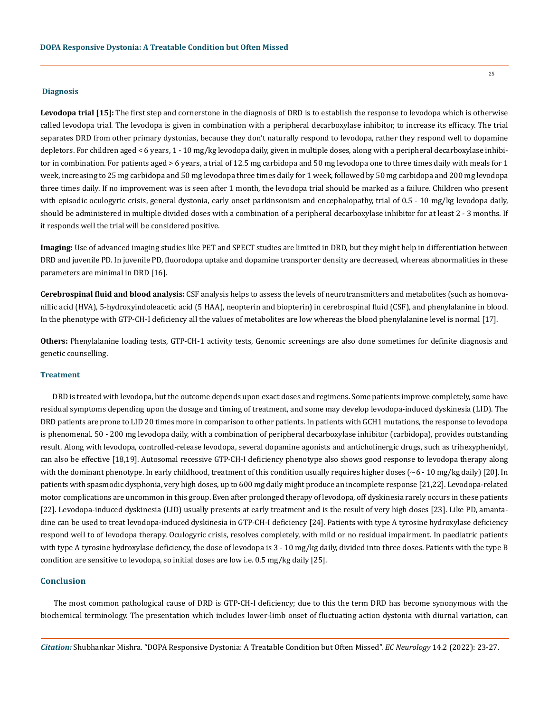#### **Diagnosis**

Levodopa trial [15]: The first step and cornerstone in the diagnosis of DRD is to establish the response to levodopa which is otherwise called levodopa trial. The levodopa is given in combination with a peripheral decarboxylase inhibitor, to increase its efficacy. The trial separates DRD from other primary dystonias, because they don't naturally respond to levodopa, rather they respond well to dopamine depletors. For children aged < 6 years, 1 - 10 mg/kg levodopa daily, given in multiple doses, along with a peripheral decarboxylase inhibitor in combination. For patients aged > 6 years, a trial of 12.5 mg carbidopa and 50 mg levodopa one to three times daily with meals for 1 week, increasing to 25 mg carbidopa and 50 mg levodopa three times daily for 1 week, followed by 50 mg carbidopa and 200 mg levodopa three times daily. If no improvement was is seen after 1 month, the levodopa trial should be marked as a failure. Children who present with episodic oculogyric crisis, general dystonia, early onset parkinsonism and encephalopathy, trial of 0.5 - 10 mg/kg levodopa daily, should be administered in multiple divided doses with a combination of a peripheral decarboxylase inhibitor for at least 2 - 3 months. If it responds well the trial will be considered positive.

**Imaging:** Use of advanced imaging studies like PET and SPECT studies are limited in DRD, but they might help in differentiation between DRD and juvenile PD. In juvenile PD, fluorodopa uptake and dopamine transporter density are decreased, whereas abnormalities in these parameters are minimal in DRD [16].

**Cerebrospinal fluid and blood analysis:** CSF analysis helps to assess the levels of neurotransmitters and metabolites (such as homovanillic acid (HVA), 5‑hydroxyindoleacetic acid (5 HAA), neopterin and biopterin) in cerebrospinal fluid (CSF), and phenylalanine in blood. In the phenotype with GTP‑CH‑I deficiency all the values of metabolites are low whereas the blood phenylalanine level is normal [17].

**Others:** Phenylalanine loading tests, GTP‑CH‑1 activity tests, Genomic screenings are also done sometimes for definite diagnosis and genetic counselling.

#### **Treatment**

DRD is treated with levodopa, but the outcome depends upon exact doses and regimens. Some patients improve completely, some have residual symptoms depending upon the dosage and timing of treatment, and some may develop levodopa-induced dyskinesia (LID). The DRD patients are prone to LID 20 times more in comparison to other patients. In patients with GCH1 mutations, the response to levodopa is phenomenal. 50 - 200 mg levodopa daily, with a combination of peripheral decarboxylase inhibitor (carbidopa), provides outstanding result. Along with levodopa, controlled-release levodopa, several dopamine agonists and anticholinergic drugs, such as trihexyphenidyl, can also be effective [18,19]. Autosomal recessive GTP‑CH‑I deficiency phenotype also shows good response to levodopa therapy along with the dominant phenotype. In early childhood, treatment of this condition usually requires higher doses  $\sim 6$  - 10 mg/kg daily) [20]. In patients with spasmodic dysphonia, very high doses, up to 600 mg daily might produce an incomplete response [21,22]. Levodopa-related motor complications are uncommon in this group. Even after prolonged therapy of levodopa, off dyskinesia rarely occurs in these patients [22]. Levodopa-induced dyskinesia (LID) usually presents at early treatment and is the result of very high doses [23]. Like PD, amantadine can be used to treat levodopa-induced dyskinesia in GTP-CH-I deficiency [24]. Patients with type A tyrosine hydroxylase deficiency respond well to of levodopa therapy. Oculogyric crisis, resolves completely, with mild or no residual impairment. In paediatric patients with type A tyrosine hydroxylase deficiency, the dose of levodopa is 3 - 10 mg/kg daily, divided into three doses. Patients with the type B condition are sensitive to levodopa, so initial doses are low i.e. 0.5 mg/kg daily [25].

#### **Conclusion**

The most common pathological cause of DRD is GTP-CH-I deficiency; due to this the term DRD has become synonymous with the biochemical terminology. The presentation which includes lower-limb onset of fluctuating action dystonia with diurnal variation, can

*Citation:* Shubhankar Mishra*.* "DOPA Responsive Dystonia: A Treatable Condition but Often Missed". *EC Neurology* 14.2 (2022): 23-27.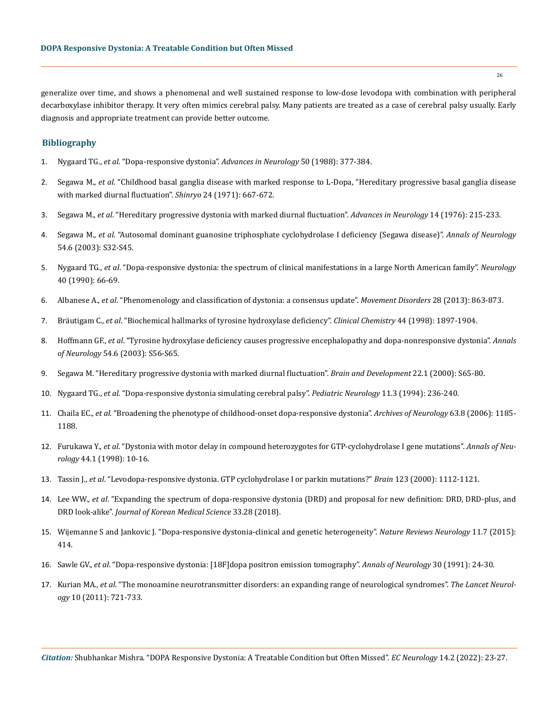generalize over time, and shows a phenomenal and well sustained response to low-dose levodopa with combination with peripheral decarboxylase inhibitor therapy. It very often mimics cerebral palsy. Many patients are treated as a case of cerebral palsy usually. Early diagnosis and appropriate treatment can provide better outcome.

### **Bibliography**

- 1. Nygaard TG., *et al*[. "Dopa-responsive dystonia".](https://pubmed.ncbi.nlm.nih.gov/3041760/) *Advances in Neurology* 50 (1988): 377-384.
- 2. Segawa M., *et al*[. "Childhood basal ganglia disease with marked response to L-Dopa, "Hereditary progressive basal ganglia disease](https://pubmed.ncbi.nlm.nih.gov/21094587/)  [with marked diurnal fluctuation".](https://pubmed.ncbi.nlm.nih.gov/21094587/) *Shinryo* 24 (1971): 667-672.
- 3. Segawa M., *et al*[. "Hereditary progressive dystonia with marked diurnal fluctuation".](https://pubmed.ncbi.nlm.nih.gov/10984664/) *Advances in Neurology* 14 (1976): 215-233.
- 4. Segawa M., *et al*[. "Autosomal dominant guanosine triphosphate cyclohydrolase I deficiency \(Segawa disease\)".](https://onlinelibrary.wiley.com/doi/10.1002/ana.10630) *Annals of Neurology* [54.6 \(2003\): S32-S45.](https://onlinelibrary.wiley.com/doi/10.1002/ana.10630)
- 5. Nygaard TG., *et al*[. "Dopa-responsive dystonia: the spectrum of clinical manifestations in a large North American family".](https://pubmed.ncbi.nlm.nih.gov/2296384/) *Neurology* [40 \(1990\): 66-69.](https://pubmed.ncbi.nlm.nih.gov/2296384/)
- 6. Albanese A., *et al*[. "Phenomenology and classification of dystonia: a consensus update".](https://pubmed.ncbi.nlm.nih.gov/23649720/) *Movement Disorders* 28 (2013): 863-873.
- 7. Bräutigam C., *et al*[. "Biochemical hallmarks of tyrosine hydroxylase deficiency".](https://academic.oup.com/clinchem/article/44/9/1897/5642945) *Clinical Chemistry* 44 (1998): 1897-1904.
- 8. Hoffmann GF., *et al*[. "Tyrosine hydroxylase deficiency causes progressive encephalopathy and dopa-nonresponsive dystonia".](https://onlinelibrary.wiley.com/doi/abs/10.1002/ana.10632) *Annals of Neurology* [54.6 \(2003\): S56-S65.](https://onlinelibrary.wiley.com/doi/abs/10.1002/ana.10632)
- 9. [Segawa M. "Hereditary progressive dystonia with marked diurnal fluctuation".](https://pubmed.ncbi.nlm.nih.gov/945938/) *Brain and Development* 22.1 (2000): S65-80.
- 10. Nygaard TG., *et al*[. "Dopa-responsive dystonia simulating cerebral palsy".](https://www.sciencedirect.com/science/article/pii/0887899494901090/pdf?md5=563602acd8dc8f7d45431bb8aaff3daa&pid=1-s2.0-0887899494901090-main.pdf) *Pediatric Neurology* 11.3 (1994): 236-240.
- 11. Chaila EC., *et al*[. "Broadening the phenotype of childhood-onset dopa-responsive dystonia".](https://pubmed.ncbi.nlm.nih.gov/16908750/) *Archives of Neurology* 63.8 (2006): 1185- [1188.](https://pubmed.ncbi.nlm.nih.gov/16908750/)
- 12. Furukawa Y., *et al*[. "Dystonia with motor delay in compound heterozygotes for GTP-cyclohydrolase I gene mutations".](https://pubmed.ncbi.nlm.nih.gov/9667588/) *Annals of Neurology* [44.1 \(1998\): 10-16.](https://pubmed.ncbi.nlm.nih.gov/9667588/)
- 13. Tassin J., *et al*[. "Levodopa-responsive dystonia. GTP cyclohydrolase I or parkin mutations?"](https://pubmed.ncbi.nlm.nih.gov/10825351/) *Brain* 123 (2000): 1112-1121.
- 14. Lee WW., *et al*[. "Expanding the spectrum of dopa-responsive dystonia \(DRD\) and proposal for new definition: DRD, DRD-plus, and](https://www.ncbi.nlm.nih.gov/pmc/articles/PMC6033101/)  DRD look-alike". *[Journal of Korean Medical Science](https://www.ncbi.nlm.nih.gov/pmc/articles/PMC6033101/)* 33.28 (2018).
- 15. [Wijemanne S and Jankovic J. "Dopa-responsive dystonia-clinical and genetic heterogeneity".](https://pubmed.ncbi.nlm.nih.gov/26100751/) *Nature Reviews Neurology* 11.7 (2015): [414.](https://pubmed.ncbi.nlm.nih.gov/26100751/)
- 16. Sawle GV., *et al*[. "Dopa-responsive dystonia: \[18F\]dopa positron emission tomography".](https://pubmed.ncbi.nlm.nih.gov/1681782/) *Annals of Neurology* 30 (1991): 24-30.
- 17. Kurian MA., *et al*[. "The monoamine neurotransmitter disorders: an expanding range of neurological syndromes".](https://pubmed.ncbi.nlm.nih.gov/21777827/) *The Lancet Neurology* [10 \(2011\): 721-733.](https://pubmed.ncbi.nlm.nih.gov/21777827/)

*Citation:* Shubhankar Mishra*.* "DOPA Responsive Dystonia: A Treatable Condition but Often Missed". *EC Neurology* 14.2 (2022): 23-27.

26